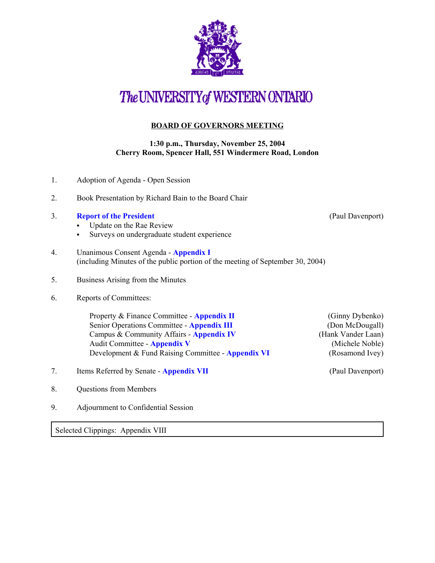

## The UNIVERSITY of WESTERN ONTARIO

## **BOARD OF GOVERNORS MEETING**

## **1:30 p.m., Thursday, November 25, 2004 Cherry Room, Spencer Hall, 551 Windermere Road, London**

| 1. | Adoption of Agenda - Open Session                                                                                                                                                                                          |                                                                                                |  |
|----|----------------------------------------------------------------------------------------------------------------------------------------------------------------------------------------------------------------------------|------------------------------------------------------------------------------------------------|--|
| 2. | Book Presentation by Richard Bain to the Board Chair                                                                                                                                                                       |                                                                                                |  |
| 3. | <b>Report of the President</b><br>Update on the Rae Review<br>Surveys on undergraduate student experience<br>$\bullet$                                                                                                     | (Paul Davenport)                                                                               |  |
| 4. | Unanimous Consent Agenda - Appendix I<br>(including Minutes of the public portion of the meeting of September 30, 2004)                                                                                                    |                                                                                                |  |
| 5. | Business Arising from the Minutes                                                                                                                                                                                          |                                                                                                |  |
| 6. | Reports of Committees:                                                                                                                                                                                                     |                                                                                                |  |
|    | Property & Finance Committee - Appendix II<br>Senior Operations Committee - Appendix III<br>Campus & Community Affairs - Appendix IV<br>Audit Committee - Appendix V<br>Development & Fund Raising Committee - Appendix VI | (Ginny Dybenko)<br>(Don McDougall)<br>(Hank Vander Laan)<br>(Michele Noble)<br>(Rosamond Ivey) |  |
| 7. | Items Referred by Senate - Appendix VII                                                                                                                                                                                    | (Paul Davenport)                                                                               |  |
| 8. | <b>Questions from Members</b>                                                                                                                                                                                              |                                                                                                |  |
| 9. | Adjournment to Confidential Session                                                                                                                                                                                        |                                                                                                |  |
|    | Selected Clippings: Appendix VIII                                                                                                                                                                                          |                                                                                                |  |